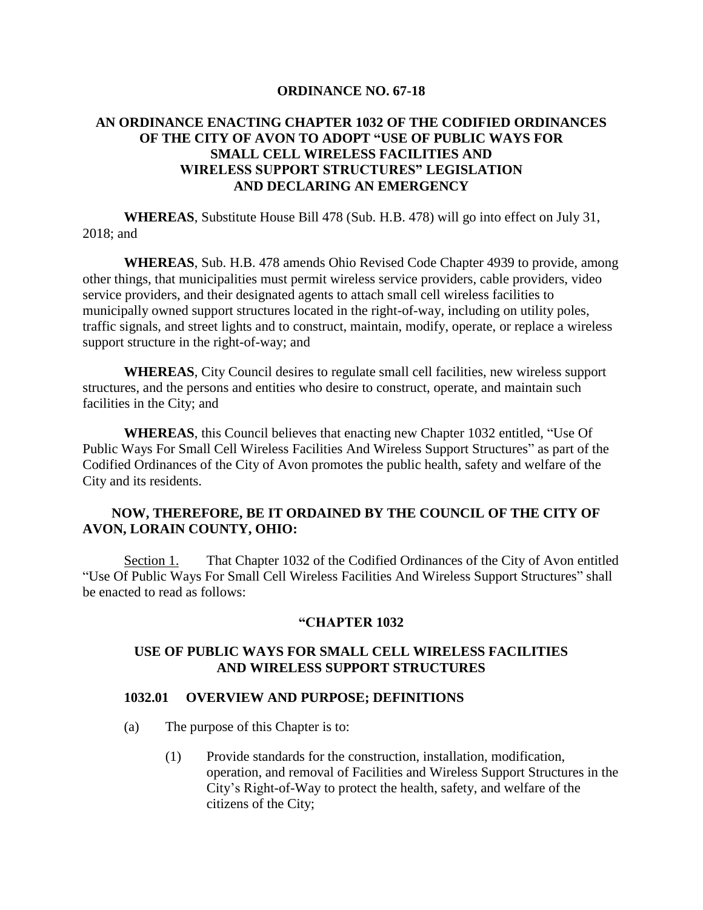#### **ORDINANCE NO. 67-18**

## **AN ORDINANCE ENACTING CHAPTER 1032 OF THE CODIFIED ORDINANCES OF THE CITY OF AVON TO ADOPT "USE OF PUBLIC WAYS FOR SMALL CELL WIRELESS FACILITIES AND WIRELESS SUPPORT STRUCTURES" LEGISLATION AND DECLARING AN EMERGENCY**

**WHEREAS**, Substitute House Bill 478 (Sub. H.B. 478) will go into effect on July 31, 2018; and

**WHEREAS**, Sub. H.B. 478 amends Ohio Revised Code Chapter 4939 to provide, among other things, that municipalities must permit wireless service providers, cable providers, video service providers, and their designated agents to attach small cell wireless facilities to municipally owned support structures located in the right-of-way, including on utility poles, traffic signals, and street lights and to construct, maintain, modify, operate, or replace a wireless support structure in the right-of-way; and

**WHEREAS**, City Council desires to regulate small cell facilities, new wireless support structures, and the persons and entities who desire to construct, operate, and maintain such facilities in the City; and

**WHEREAS**, this Council believes that enacting new Chapter 1032 entitled, "Use Of Public Ways For Small Cell Wireless Facilities And Wireless Support Structures" as part of the Codified Ordinances of the City of Avon promotes the public health, safety and welfare of the City and its residents.

## **NOW, THEREFORE, BE IT ORDAINED BY THE COUNCIL OF THE CITY OF AVON, LORAIN COUNTY, OHIO:**

Section 1. That Chapter 1032 of the Codified Ordinances of the City of Avon entitled "Use Of Public Ways For Small Cell Wireless Facilities And Wireless Support Structures" shall be enacted to read as follows:

#### **"CHAPTER 1032**

## **USE OF PUBLIC WAYS FOR SMALL CELL WIRELESS FACILITIES AND WIRELESS SUPPORT STRUCTURES**

#### **1032.01 OVERVIEW AND PURPOSE; DEFINITIONS**

- (a) The purpose of this Chapter is to:
	- (1) Provide standards for the construction, installation, modification, operation, and removal of Facilities and Wireless Support Structures in the City's Right-of-Way to protect the health, safety, and welfare of the citizens of the City;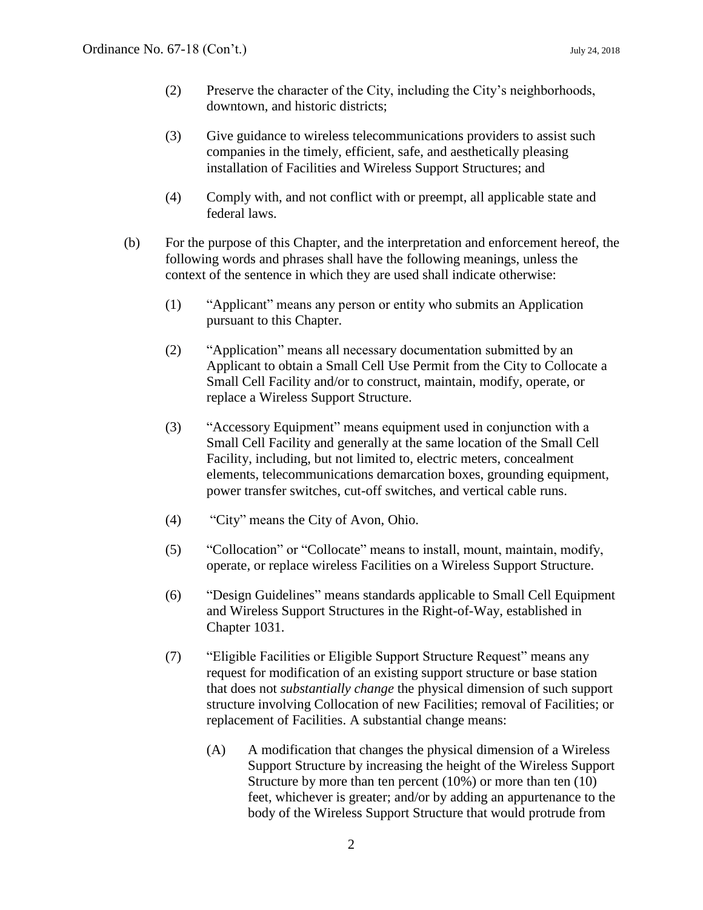- (2) Preserve the character of the City, including the City's neighborhoods, downtown, and historic districts;
- (3) Give guidance to wireless telecommunications providers to assist such companies in the timely, efficient, safe, and aesthetically pleasing installation of Facilities and Wireless Support Structures; and
- (4) Comply with, and not conflict with or preempt, all applicable state and federal laws.
- (b) For the purpose of this Chapter, and the interpretation and enforcement hereof, the following words and phrases shall have the following meanings, unless the context of the sentence in which they are used shall indicate otherwise:
	- (1) "Applicant" means any person or entity who submits an Application pursuant to this Chapter.
	- (2) "Application" means all necessary documentation submitted by an Applicant to obtain a Small Cell Use Permit from the City to Collocate a Small Cell Facility and/or to construct, maintain, modify, operate, or replace a Wireless Support Structure.
	- (3) "Accessory Equipment" means equipment used in conjunction with a Small Cell Facility and generally at the same location of the Small Cell Facility, including, but not limited to, electric meters, concealment elements, telecommunications demarcation boxes, grounding equipment, power transfer switches, cut-off switches, and vertical cable runs.
	- (4) "City" means the City of Avon, Ohio.
	- (5) "Collocation" or "Collocate" means to install, mount, maintain, modify, operate, or replace wireless Facilities on a Wireless Support Structure.
	- (6) "Design Guidelines" means standards applicable to Small Cell Equipment and Wireless Support Structures in the Right-of-Way, established in Chapter 1031.
	- (7) "Eligible Facilities or Eligible Support Structure Request" means any request for modification of an existing support structure or base station that does not *substantially change* the physical dimension of such support structure involving Collocation of new Facilities; removal of Facilities; or replacement of Facilities. A substantial change means:
		- (A) A modification that changes the physical dimension of a Wireless Support Structure by increasing the height of the Wireless Support Structure by more than ten percent (10%) or more than ten (10) feet, whichever is greater; and/or by adding an appurtenance to the body of the Wireless Support Structure that would protrude from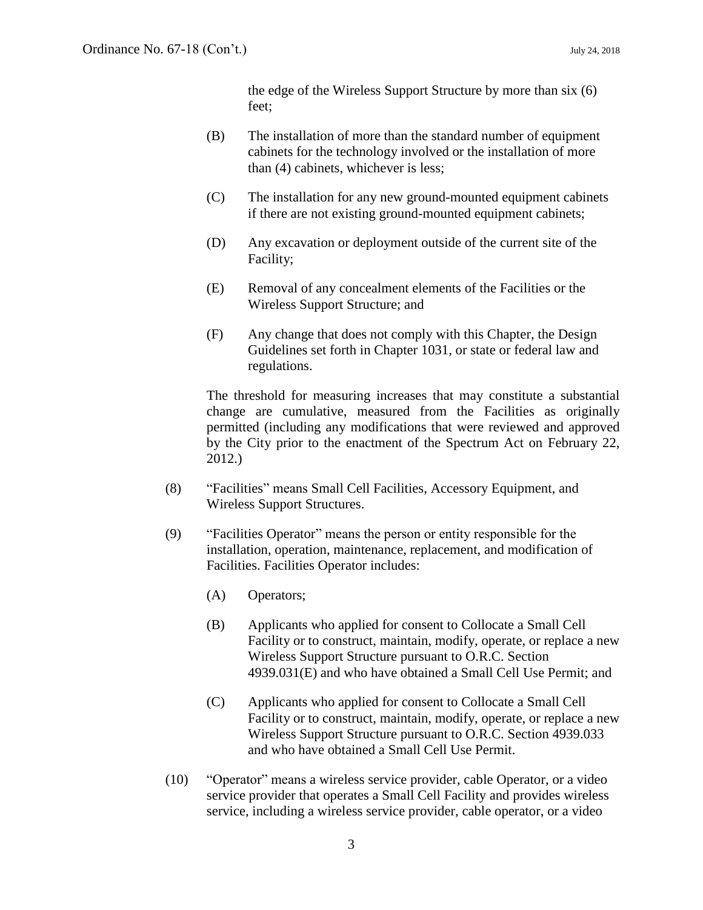the edge of the Wireless Support Structure by more than six (6) feet;

- (B) The installation of more than the standard number of equipment cabinets for the technology involved or the installation of more than (4) cabinets, whichever is less;
- (C) The installation for any new ground-mounted equipment cabinets if there are not existing ground-mounted equipment cabinets;
- (D) Any excavation or deployment outside of the current site of the Facility;
- (E) Removal of any concealment elements of the Facilities or the Wireless Support Structure; and
- (F) Any change that does not comply with this Chapter, the Design Guidelines set forth in Chapter 1031, or state or federal law and regulations.

The threshold for measuring increases that may constitute a substantial change are cumulative, measured from the Facilities as originally permitted (including any modifications that were reviewed and approved by the City prior to the enactment of the Spectrum Act on February 22, 2012.)

- (8) "Facilities" means Small Cell Facilities, Accessory Equipment, and Wireless Support Structures.
- (9) "Facilities Operator" means the person or entity responsible for the installation, operation, maintenance, replacement, and modification of Facilities. Facilities Operator includes:
	- (A) Operators;
	- (B) Applicants who applied for consent to Collocate a Small Cell Facility or to construct, maintain, modify, operate, or replace a new Wireless Support Structure pursuant to O.R.C. Section 4939.031(E) and who have obtained a Small Cell Use Permit; and
	- (C) Applicants who applied for consent to Collocate a Small Cell Facility or to construct, maintain, modify, operate, or replace a new Wireless Support Structure pursuant to O.R.C. Section 4939.033 and who have obtained a Small Cell Use Permit.
- (10) "Operator" means a wireless service provider, cable Operator, or a video service provider that operates a Small Cell Facility and provides wireless service, including a wireless service provider, cable operator, or a video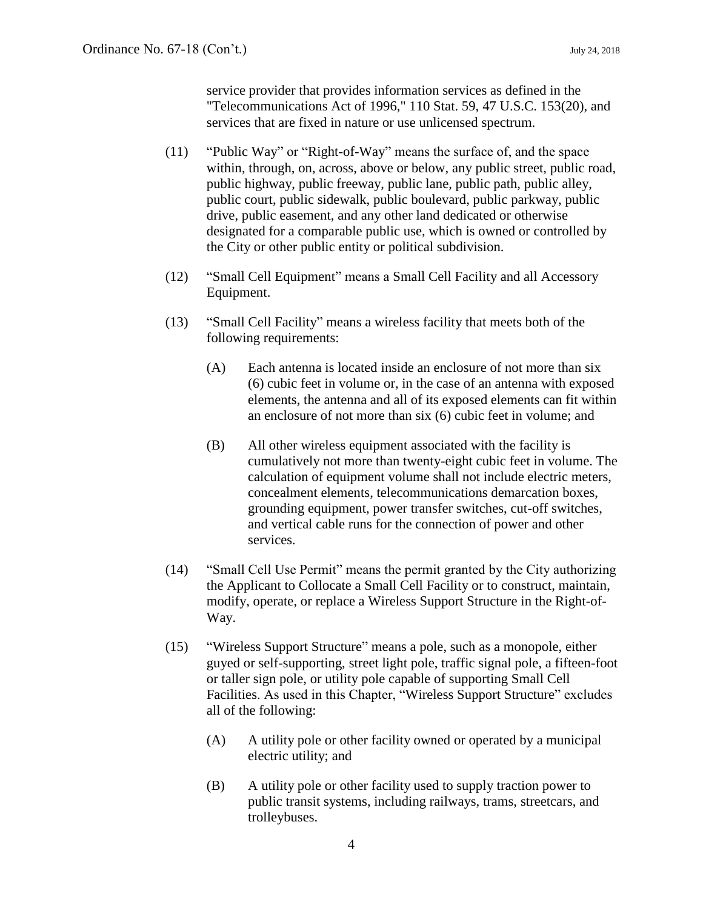service provider that provides information services as defined in the "Telecommunications Act of 1996," 110 Stat. 59, 47 U.S.C. 153(20), and services that are fixed in nature or use unlicensed spectrum.

- (11) "Public Way" or "Right-of-Way" means the surface of, and the space within, through, on, across, above or below, any public street, public road, public highway, public freeway, public lane, public path, public alley, public court, public sidewalk, public boulevard, public parkway, public drive, public easement, and any other land dedicated or otherwise designated for a comparable public use, which is owned or controlled by the City or other public entity or political subdivision.
- (12) "Small Cell Equipment" means a Small Cell Facility and all Accessory Equipment.
- (13) "Small Cell Facility" means a wireless facility that meets both of the following requirements:
	- (A) Each antenna is located inside an enclosure of not more than six (6) cubic feet in volume or, in the case of an antenna with exposed elements, the antenna and all of its exposed elements can fit within an enclosure of not more than six (6) cubic feet in volume; and
	- (B) All other wireless equipment associated with the facility is cumulatively not more than twenty-eight cubic feet in volume. The calculation of equipment volume shall not include electric meters, concealment elements, telecommunications demarcation boxes, grounding equipment, power transfer switches, cut-off switches, and vertical cable runs for the connection of power and other services.
- (14) "Small Cell Use Permit" means the permit granted by the City authorizing the Applicant to Collocate a Small Cell Facility or to construct, maintain, modify, operate, or replace a Wireless Support Structure in the Right-of-Way.
- (15) "Wireless Support Structure" means a pole, such as a monopole, either guyed or self-supporting, street light pole, traffic signal pole, a fifteen-foot or taller sign pole, or utility pole capable of supporting Small Cell Facilities. As used in this Chapter, "Wireless Support Structure" excludes all of the following:
	- (A) A utility pole or other facility owned or operated by a municipal electric utility; and
	- (B) A utility pole or other facility used to supply traction power to public transit systems, including railways, trams, streetcars, and trolleybuses.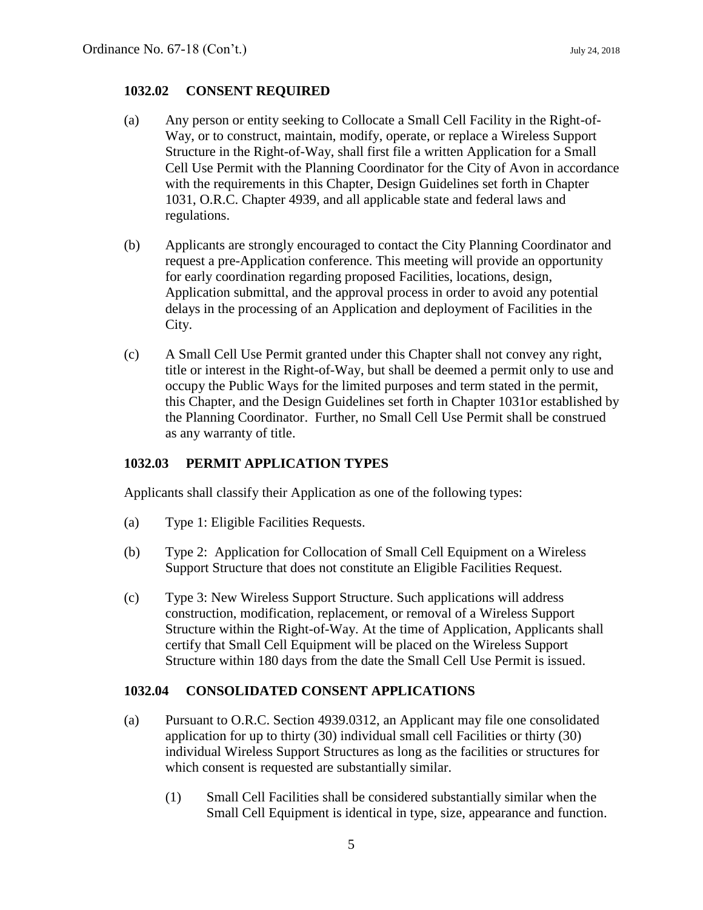## **1032.02 CONSENT REQUIRED**

- (a) Any person or entity seeking to Collocate a Small Cell Facility in the Right-of-Way, or to construct, maintain, modify, operate, or replace a Wireless Support Structure in the Right-of-Way, shall first file a written Application for a Small Cell Use Permit with the Planning Coordinator for the City of Avon in accordance with the requirements in this Chapter, Design Guidelines set forth in Chapter 1031, O.R.C. Chapter 4939, and all applicable state and federal laws and regulations.
- (b) Applicants are strongly encouraged to contact the City Planning Coordinator and request a pre-Application conference. This meeting will provide an opportunity for early coordination regarding proposed Facilities, locations, design, Application submittal, and the approval process in order to avoid any potential delays in the processing of an Application and deployment of Facilities in the City.
- (c) A Small Cell Use Permit granted under this Chapter shall not convey any right, title or interest in the Right-of-Way, but shall be deemed a permit only to use and occupy the Public Ways for the limited purposes and term stated in the permit, this Chapter, and the Design Guidelines set forth in Chapter 1031or established by the Planning Coordinator. Further, no Small Cell Use Permit shall be construed as any warranty of title.

## **1032.03 PERMIT APPLICATION TYPES**

Applicants shall classify their Application as one of the following types:

- (a) Type 1: Eligible Facilities Requests.
- (b) Type 2: Application for Collocation of Small Cell Equipment on a Wireless Support Structure that does not constitute an Eligible Facilities Request.
- (c) Type 3: New Wireless Support Structure. Such applications will address construction, modification, replacement, or removal of a Wireless Support Structure within the Right-of-Way. At the time of Application, Applicants shall certify that Small Cell Equipment will be placed on the Wireless Support Structure within 180 days from the date the Small Cell Use Permit is issued.

## **1032.04 CONSOLIDATED CONSENT APPLICATIONS**

- (a) Pursuant to O.R.C. Section 4939.0312, an Applicant may file one consolidated application for up to thirty (30) individual small cell Facilities or thirty (30) individual Wireless Support Structures as long as the facilities or structures for which consent is requested are substantially similar.
	- (1) Small Cell Facilities shall be considered substantially similar when the Small Cell Equipment is identical in type, size, appearance and function.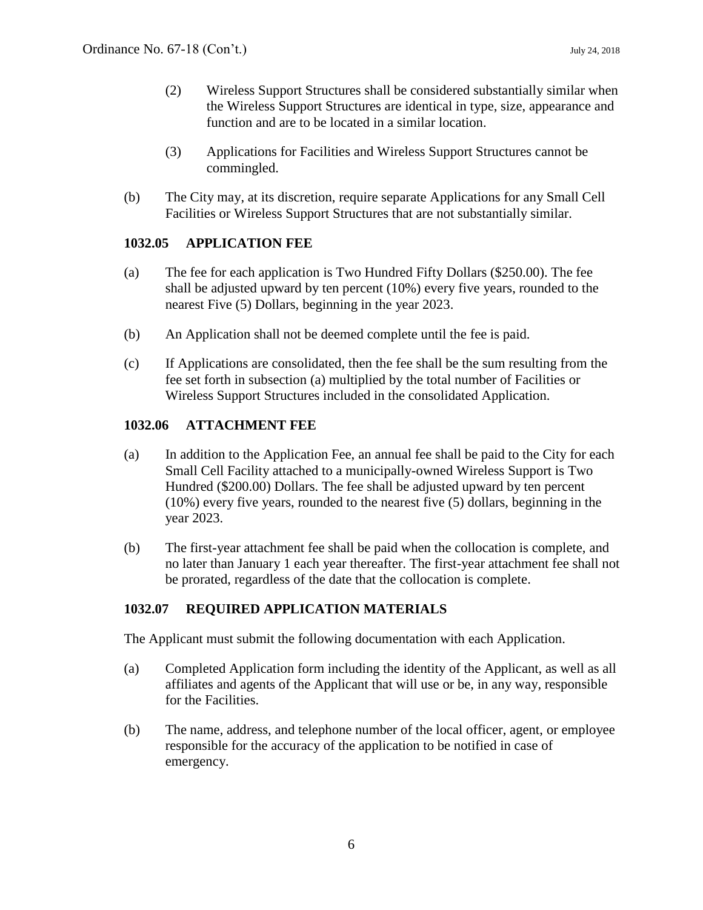- (2) Wireless Support Structures shall be considered substantially similar when the Wireless Support Structures are identical in type, size, appearance and function and are to be located in a similar location.
- (3) Applications for Facilities and Wireless Support Structures cannot be commingled.
- (b) The City may, at its discretion, require separate Applications for any Small Cell Facilities or Wireless Support Structures that are not substantially similar.

# **1032.05 APPLICATION FEE**

- (a) The fee for each application is Two Hundred Fifty Dollars (\$250.00). The fee shall be adjusted upward by ten percent (10%) every five years, rounded to the nearest Five (5) Dollars, beginning in the year 2023.
- (b) An Application shall not be deemed complete until the fee is paid.
- (c) If Applications are consolidated, then the fee shall be the sum resulting from the fee set forth in subsection (a) multiplied by the total number of Facilities or Wireless Support Structures included in the consolidated Application.

# **1032.06 ATTACHMENT FEE**

- (a) In addition to the Application Fee, an annual fee shall be paid to the City for each Small Cell Facility attached to a municipally-owned Wireless Support is Two Hundred (\$200.00) Dollars. The fee shall be adjusted upward by ten percent (10%) every five years, rounded to the nearest five (5) dollars, beginning in the year 2023.
- (b) The first-year attachment fee shall be paid when the collocation is complete, and no later than January 1 each year thereafter. The first-year attachment fee shall not be prorated, regardless of the date that the collocation is complete.

# **1032.07 REQUIRED APPLICATION MATERIALS**

The Applicant must submit the following documentation with each Application.

- (a) Completed Application form including the identity of the Applicant, as well as all affiliates and agents of the Applicant that will use or be, in any way, responsible for the Facilities.
- (b) The name, address, and telephone number of the local officer, agent, or employee responsible for the accuracy of the application to be notified in case of emergency.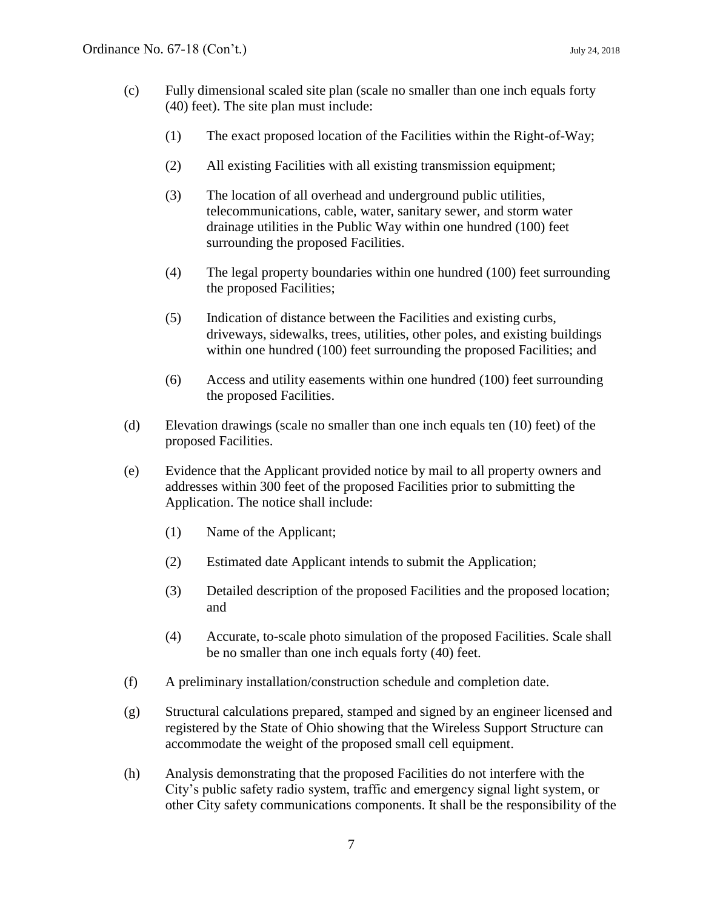- (c) Fully dimensional scaled site plan (scale no smaller than one inch equals forty (40) feet). The site plan must include:
	- (1) The exact proposed location of the Facilities within the Right-of-Way;
	- (2) All existing Facilities with all existing transmission equipment;
	- (3) The location of all overhead and underground public utilities, telecommunications, cable, water, sanitary sewer, and storm water drainage utilities in the Public Way within one hundred (100) feet surrounding the proposed Facilities.
	- (4) The legal property boundaries within one hundred (100) feet surrounding the proposed Facilities;
	- (5) Indication of distance between the Facilities and existing curbs, driveways, sidewalks, trees, utilities, other poles, and existing buildings within one hundred (100) feet surrounding the proposed Facilities; and
	- (6) Access and utility easements within one hundred (100) feet surrounding the proposed Facilities.
- (d) Elevation drawings (scale no smaller than one inch equals ten (10) feet) of the proposed Facilities.
- (e) Evidence that the Applicant provided notice by mail to all property owners and addresses within 300 feet of the proposed Facilities prior to submitting the Application. The notice shall include:
	- (1) Name of the Applicant;
	- (2) Estimated date Applicant intends to submit the Application;
	- (3) Detailed description of the proposed Facilities and the proposed location; and
	- (4) Accurate, to-scale photo simulation of the proposed Facilities. Scale shall be no smaller than one inch equals forty (40) feet.
- (f) A preliminary installation/construction schedule and completion date.
- (g) Structural calculations prepared, stamped and signed by an engineer licensed and registered by the State of Ohio showing that the Wireless Support Structure can accommodate the weight of the proposed small cell equipment.
- (h) Analysis demonstrating that the proposed Facilities do not interfere with the City's public safety radio system, traffic and emergency signal light system, or other City safety communications components. It shall be the responsibility of the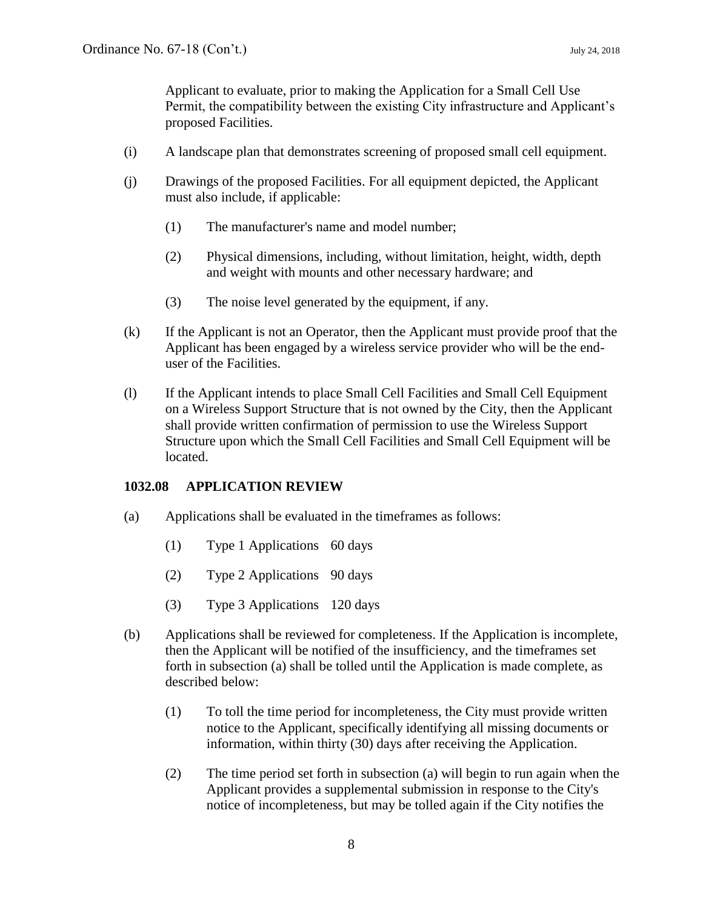Applicant to evaluate, prior to making the Application for a Small Cell Use Permit, the compatibility between the existing City infrastructure and Applicant's proposed Facilities.

- (i) A landscape plan that demonstrates screening of proposed small cell equipment.
- (j) Drawings of the proposed Facilities. For all equipment depicted, the Applicant must also include, if applicable:
	- (1) The manufacturer's name and model number;
	- (2) Physical dimensions, including, without limitation, height, width, depth and weight with mounts and other necessary hardware; and
	- (3) The noise level generated by the equipment, if any.
- (k) If the Applicant is not an Operator, then the Applicant must provide proof that the Applicant has been engaged by a wireless service provider who will be the enduser of the Facilities.
- (l) If the Applicant intends to place Small Cell Facilities and Small Cell Equipment on a Wireless Support Structure that is not owned by the City, then the Applicant shall provide written confirmation of permission to use the Wireless Support Structure upon which the Small Cell Facilities and Small Cell Equipment will be located.

## **1032.08 APPLICATION REVIEW**

- (a) Applications shall be evaluated in the timeframes as follows:
	- (1) Type 1 Applications 60 days
	- (2) Type 2 Applications 90 days
	- (3) Type 3 Applications 120 days
- (b) Applications shall be reviewed for completeness. If the Application is incomplete, then the Applicant will be notified of the insufficiency, and the timeframes set forth in subsection (a) shall be tolled until the Application is made complete, as described below:
	- (1) To toll the time period for incompleteness, the City must provide written notice to the Applicant, specifically identifying all missing documents or information, within thirty (30) days after receiving the Application.
	- (2) The time period set forth in subsection (a) will begin to run again when the Applicant provides a supplemental submission in response to the City's notice of incompleteness, but may be tolled again if the City notifies the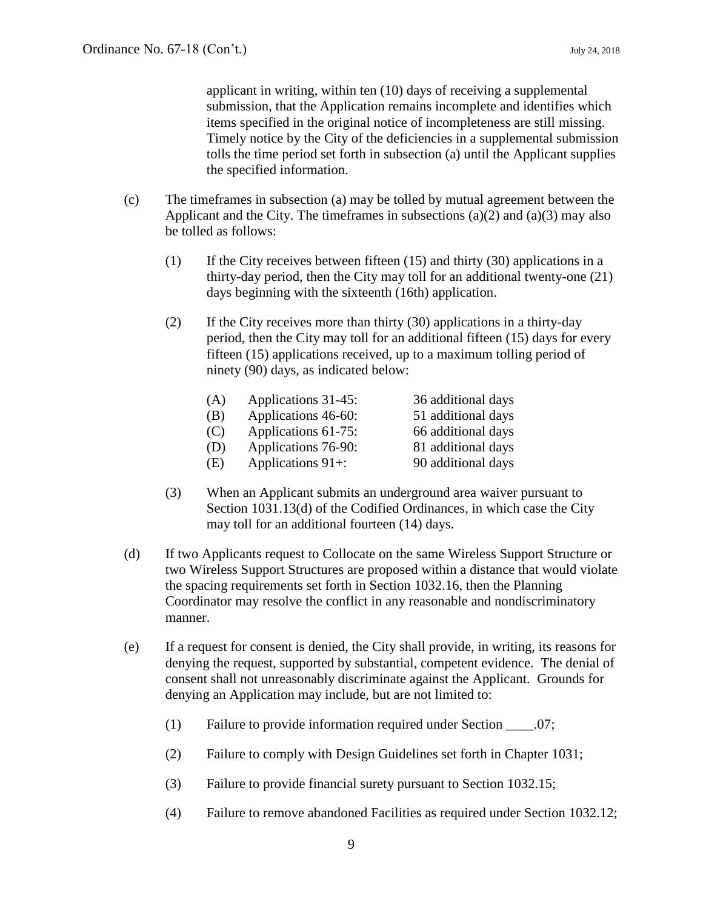applicant in writing, within ten (10) days of receiving a supplemental submission, that the Application remains incomplete and identifies which items specified in the original notice of incompleteness are still missing. Timely notice by the City of the deficiencies in a supplemental submission tolls the time period set forth in subsection (a) until the Applicant supplies the specified information.

- (c) The timeframes in subsection (a) may be tolled by mutual agreement between the Applicant and the City. The timeframes in subsections  $(a)(2)$  and  $(a)(3)$  may also be tolled as follows:
	- (1) If the City receives between fifteen (15) and thirty (30) applications in a thirty-day period, then the City may toll for an additional twenty-one (21) days beginning with the sixteenth (16th) application.
	- (2) If the City receives more than thirty (30) applications in a thirty-day period, then the City may toll for an additional fifteen (15) days for every fifteen (15) applications received, up to a maximum tolling period of ninety (90) days, as indicated below:

| (A) | Applications 31-45: | 36 additional days |
|-----|---------------------|--------------------|
| (B) | Applications 46-60: | 51 additional days |
| (C) | Applications 61-75: | 66 additional days |
| (D) | Applications 76-90: | 81 additional days |
| (E) | Applications $91+:$ | 90 additional days |

- (3) When an Applicant submits an underground area waiver pursuant to Section 1031.13(d) of the Codified Ordinances, in which case the City may toll for an additional fourteen (14) days.
- (d) If two Applicants request to Collocate on the same Wireless Support Structure or two Wireless Support Structures are proposed within a distance that would violate the spacing requirements set forth in Section 1032.16, then the Planning Coordinator may resolve the conflict in any reasonable and nondiscriminatory manner.
- (e) If a request for consent is denied, the City shall provide, in writing, its reasons for denying the request, supported by substantial, competent evidence. The denial of consent shall not unreasonably discriminate against the Applicant. Grounds for denying an Application may include, but are not limited to:
	- (1) Failure to provide information required under Section \_\_\_\_.07;
	- (2) Failure to comply with Design Guidelines set forth in Chapter 1031;
	- (3) Failure to provide financial surety pursuant to Section 1032.15;
	- (4) Failure to remove abandoned Facilities as required under Section 1032.12;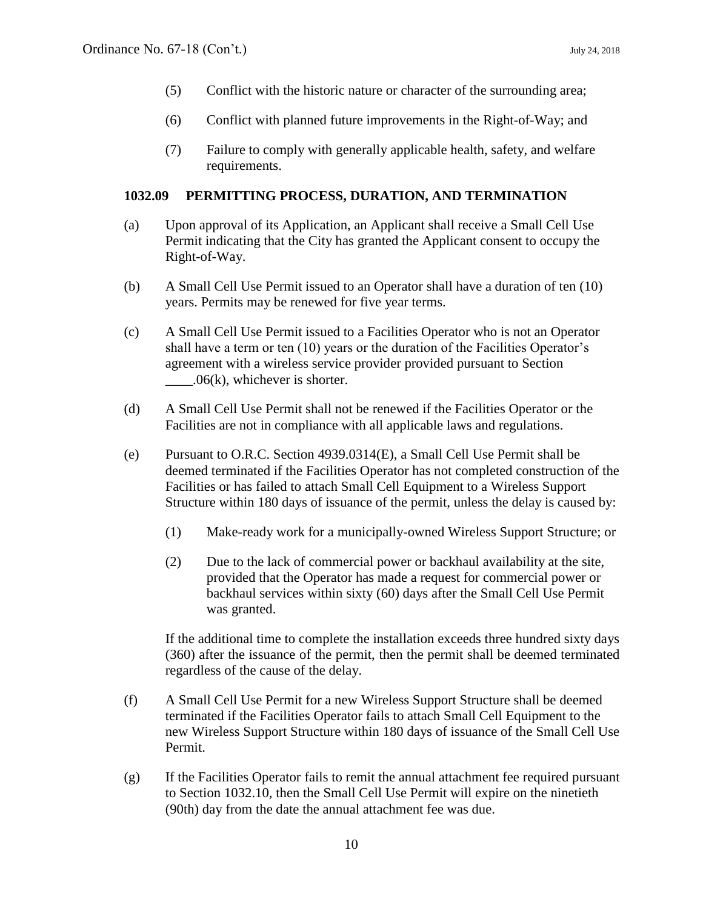- (5) Conflict with the historic nature or character of the surrounding area;
- (6) Conflict with planned future improvements in the Right-of-Way; and
- (7) Failure to comply with generally applicable health, safety, and welfare requirements.

#### **1032.09 PERMITTING PROCESS, DURATION, AND TERMINATION**

- (a) Upon approval of its Application, an Applicant shall receive a Small Cell Use Permit indicating that the City has granted the Applicant consent to occupy the Right-of-Way.
- (b) A Small Cell Use Permit issued to an Operator shall have a duration of ten (10) years. Permits may be renewed for five year terms.
- (c) A Small Cell Use Permit issued to a Facilities Operator who is not an Operator shall have a term or ten (10) years or the duration of the Facilities Operator's agreement with a wireless service provider provided pursuant to Section  $.06(k)$ , whichever is shorter.
- (d) A Small Cell Use Permit shall not be renewed if the Facilities Operator or the Facilities are not in compliance with all applicable laws and regulations.
- (e) Pursuant to O.R.C. Section 4939.0314(E), a Small Cell Use Permit shall be deemed terminated if the Facilities Operator has not completed construction of the Facilities or has failed to attach Small Cell Equipment to a Wireless Support Structure within 180 days of issuance of the permit, unless the delay is caused by:
	- (1) Make-ready work for a municipally-owned Wireless Support Structure; or
	- (2) Due to the lack of commercial power or backhaul availability at the site, provided that the Operator has made a request for commercial power or backhaul services within sixty (60) days after the Small Cell Use Permit was granted.

If the additional time to complete the installation exceeds three hundred sixty days (360) after the issuance of the permit, then the permit shall be deemed terminated regardless of the cause of the delay.

- (f) A Small Cell Use Permit for a new Wireless Support Structure shall be deemed terminated if the Facilities Operator fails to attach Small Cell Equipment to the new Wireless Support Structure within 180 days of issuance of the Small Cell Use Permit.
- (g) If the Facilities Operator fails to remit the annual attachment fee required pursuant to Section 1032.10, then the Small Cell Use Permit will expire on the ninetieth (90th) day from the date the annual attachment fee was due.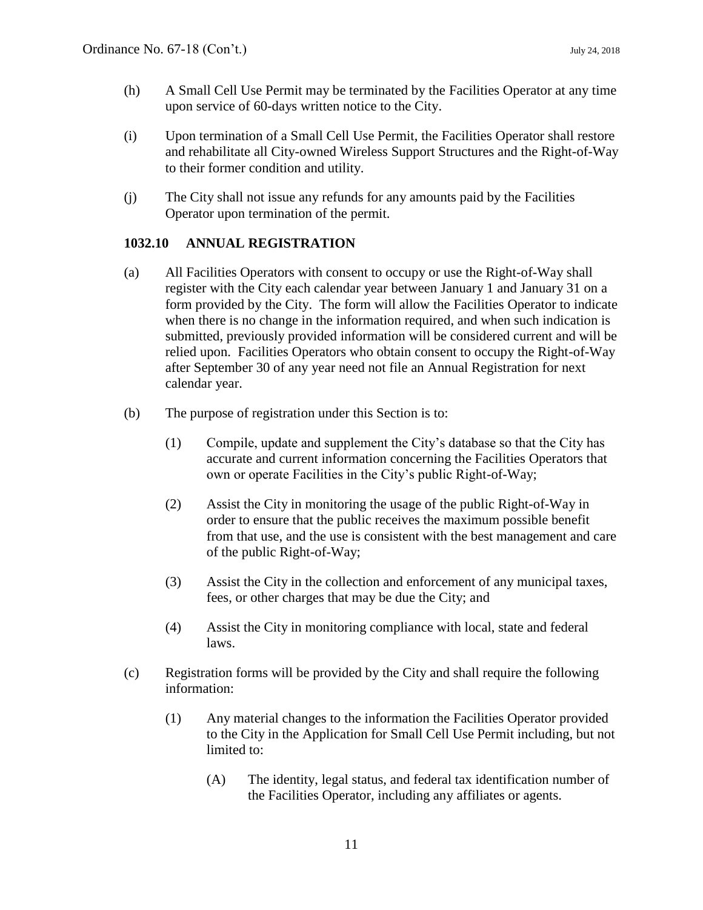- (h) A Small Cell Use Permit may be terminated by the Facilities Operator at any time upon service of 60-days written notice to the City.
- (i) Upon termination of a Small Cell Use Permit, the Facilities Operator shall restore and rehabilitate all City-owned Wireless Support Structures and the Right-of-Way to their former condition and utility.
- (j) The City shall not issue any refunds for any amounts paid by the Facilities Operator upon termination of the permit.

# **1032.10 ANNUAL REGISTRATION**

- (a) All Facilities Operators with consent to occupy or use the Right-of-Way shall register with the City each calendar year between January 1 and January 31 on a form provided by the City. The form will allow the Facilities Operator to indicate when there is no change in the information required, and when such indication is submitted, previously provided information will be considered current and will be relied upon. Facilities Operators who obtain consent to occupy the Right-of-Way after September 30 of any year need not file an Annual Registration for next calendar year.
- (b) The purpose of registration under this Section is to:
	- (1) Compile, update and supplement the City's database so that the City has accurate and current information concerning the Facilities Operators that own or operate Facilities in the City's public Right-of-Way;
	- (2) Assist the City in monitoring the usage of the public Right-of-Way in order to ensure that the public receives the maximum possible benefit from that use, and the use is consistent with the best management and care of the public Right-of-Way;
	- (3) Assist the City in the collection and enforcement of any municipal taxes, fees, or other charges that may be due the City; and
	- (4) Assist the City in monitoring compliance with local, state and federal laws.
- (c) Registration forms will be provided by the City and shall require the following information:
	- (1) Any material changes to the information the Facilities Operator provided to the City in the Application for Small Cell Use Permit including, but not limited to:
		- (A) The identity, legal status, and federal tax identification number of the Facilities Operator, including any affiliates or agents.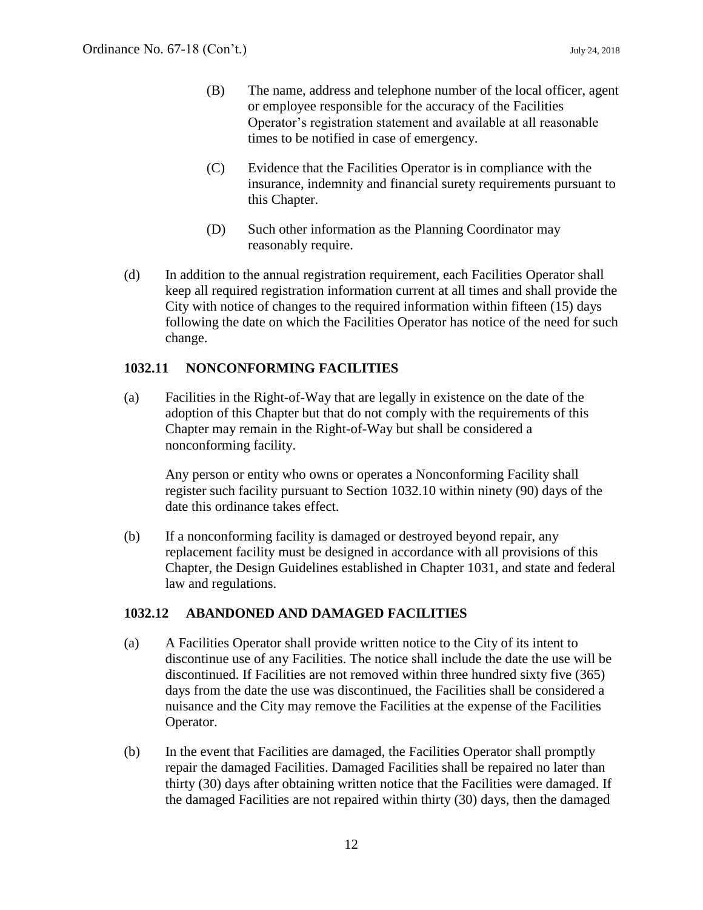- (B) The name, address and telephone number of the local officer, agent or employee responsible for the accuracy of the Facilities Operator's registration statement and available at all reasonable times to be notified in case of emergency.
- (C) Evidence that the Facilities Operator is in compliance with the insurance, indemnity and financial surety requirements pursuant to this Chapter.
- (D) Such other information as the Planning Coordinator may reasonably require.
- (d) In addition to the annual registration requirement, each Facilities Operator shall keep all required registration information current at all times and shall provide the City with notice of changes to the required information within fifteen (15) days following the date on which the Facilities Operator has notice of the need for such change.

#### **1032.11 NONCONFORMING FACILITIES**

(a) Facilities in the Right-of-Way that are legally in existence on the date of the adoption of this Chapter but that do not comply with the requirements of this Chapter may remain in the Right-of-Way but shall be considered a nonconforming facility.

Any person or entity who owns or operates a Nonconforming Facility shall register such facility pursuant to Section 1032.10 within ninety (90) days of the date this ordinance takes effect.

(b) If a nonconforming facility is damaged or destroyed beyond repair, any replacement facility must be designed in accordance with all provisions of this Chapter, the Design Guidelines established in Chapter 1031, and state and federal law and regulations.

#### **1032.12 ABANDONED AND DAMAGED FACILITIES**

- (a) A Facilities Operator shall provide written notice to the City of its intent to discontinue use of any Facilities. The notice shall include the date the use will be discontinued. If Facilities are not removed within three hundred sixty five (365) days from the date the use was discontinued, the Facilities shall be considered a nuisance and the City may remove the Facilities at the expense of the Facilities Operator.
- (b) In the event that Facilities are damaged, the Facilities Operator shall promptly repair the damaged Facilities. Damaged Facilities shall be repaired no later than thirty (30) days after obtaining written notice that the Facilities were damaged. If the damaged Facilities are not repaired within thirty (30) days, then the damaged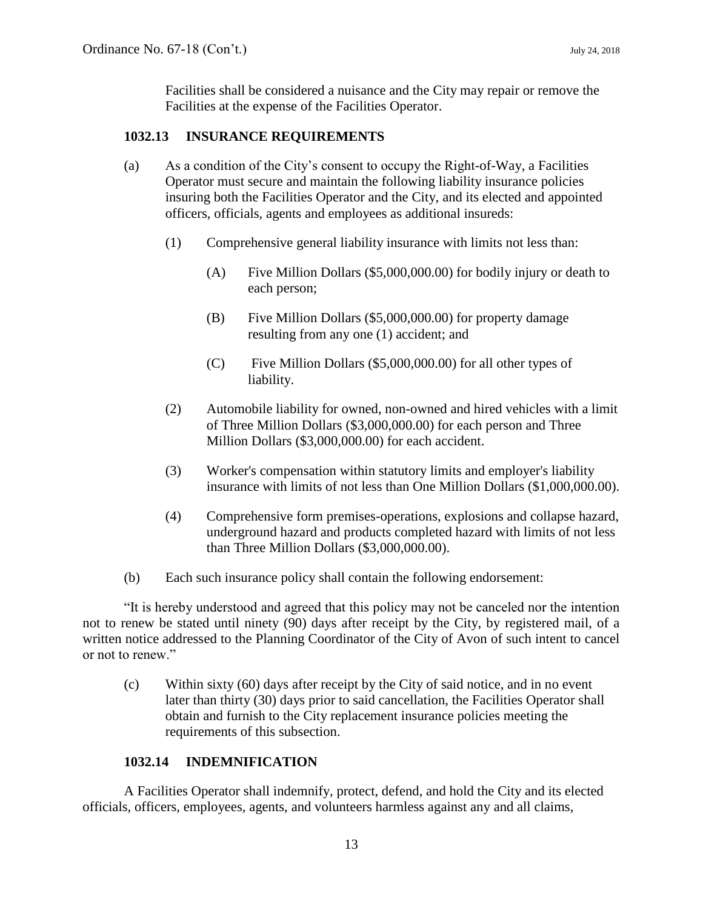Facilities shall be considered a nuisance and the City may repair or remove the Facilities at the expense of the Facilities Operator.

## **1032.13 INSURANCE REQUIREMENTS**

- (a) As a condition of the City's consent to occupy the Right-of-Way, a Facilities Operator must secure and maintain the following liability insurance policies insuring both the Facilities Operator and the City, and its elected and appointed officers, officials, agents and employees as additional insureds:
	- (1) Comprehensive general liability insurance with limits not less than:
		- (A) Five Million Dollars (\$5,000,000.00) for bodily injury or death to each person;
		- (B) Five Million Dollars (\$5,000,000.00) for property damage resulting from any one (1) accident; and
		- (C) Five Million Dollars (\$5,000,000.00) for all other types of liability.
	- (2) Automobile liability for owned, non-owned and hired vehicles with a limit of Three Million Dollars (\$3,000,000.00) for each person and Three Million Dollars (\$3,000,000.00) for each accident.
	- (3) Worker's compensation within statutory limits and employer's liability insurance with limits of not less than One Million Dollars (\$1,000,000.00).
	- (4) Comprehensive form premises-operations, explosions and collapse hazard, underground hazard and products completed hazard with limits of not less than Three Million Dollars (\$3,000,000.00).
- (b) Each such insurance policy shall contain the following endorsement:

"It is hereby understood and agreed that this policy may not be canceled nor the intention not to renew be stated until ninety (90) days after receipt by the City, by registered mail, of a written notice addressed to the Planning Coordinator of the City of Avon of such intent to cancel or not to renew."

(c) Within sixty (60) days after receipt by the City of said notice, and in no event later than thirty (30) days prior to said cancellation, the Facilities Operator shall obtain and furnish to the City replacement insurance policies meeting the requirements of this subsection.

# **1032.14 INDEMNIFICATION**

A Facilities Operator shall indemnify, protect, defend, and hold the City and its elected officials, officers, employees, agents, and volunteers harmless against any and all claims,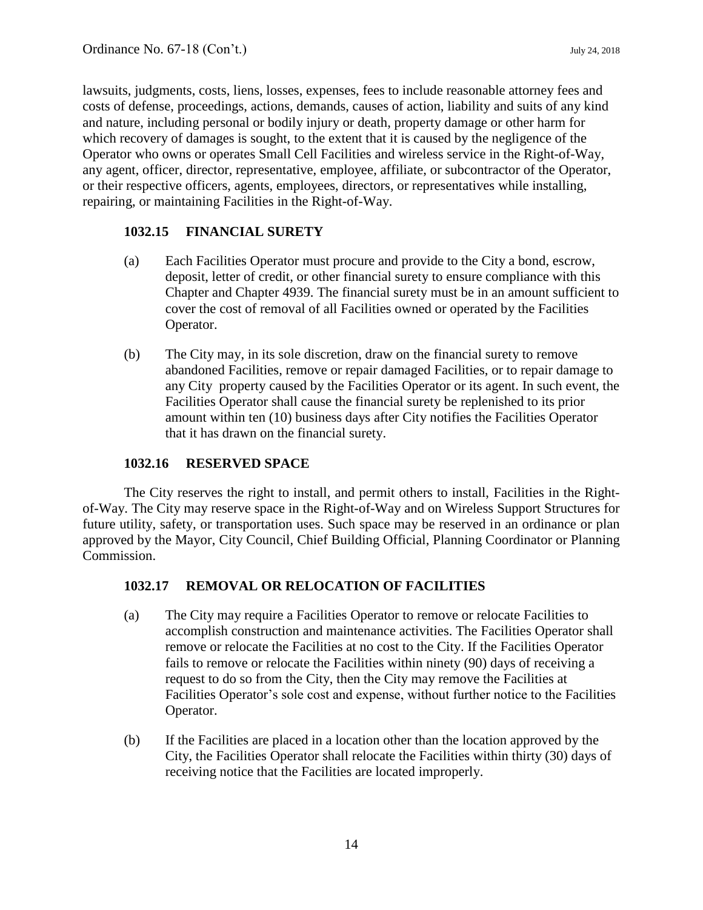lawsuits, judgments, costs, liens, losses, expenses, fees to include reasonable attorney fees and costs of defense, proceedings, actions, demands, causes of action, liability and suits of any kind and nature, including personal or bodily injury or death, property damage or other harm for which recovery of damages is sought, to the extent that it is caused by the negligence of the Operator who owns or operates Small Cell Facilities and wireless service in the Right-of-Way, any agent, officer, director, representative, employee, affiliate, or subcontractor of the Operator, or their respective officers, agents, employees, directors, or representatives while installing, repairing, or maintaining Facilities in the Right-of-Way.

## **1032.15 FINANCIAL SURETY**

- (a) Each Facilities Operator must procure and provide to the City a bond, escrow, deposit, letter of credit, or other financial surety to ensure compliance with this Chapter and Chapter 4939. The financial surety must be in an amount sufficient to cover the cost of removal of all Facilities owned or operated by the Facilities Operator.
- (b) The City may, in its sole discretion, draw on the financial surety to remove abandoned Facilities, remove or repair damaged Facilities, or to repair damage to any City property caused by the Facilities Operator or its agent. In such event, the Facilities Operator shall cause the financial surety be replenished to its prior amount within ten (10) business days after City notifies the Facilities Operator that it has drawn on the financial surety.

# **1032.16 RESERVED SPACE**

The City reserves the right to install, and permit others to install, Facilities in the Rightof-Way. The City may reserve space in the Right-of-Way and on Wireless Support Structures for future utility, safety, or transportation uses. Such space may be reserved in an ordinance or plan approved by the Mayor, City Council, Chief Building Official, Planning Coordinator or Planning Commission.

# **1032.17 REMOVAL OR RELOCATION OF FACILITIES**

- (a) The City may require a Facilities Operator to remove or relocate Facilities to accomplish construction and maintenance activities. The Facilities Operator shall remove or relocate the Facilities at no cost to the City. If the Facilities Operator fails to remove or relocate the Facilities within ninety (90) days of receiving a request to do so from the City, then the City may remove the Facilities at Facilities Operator's sole cost and expense, without further notice to the Facilities Operator.
- (b) If the Facilities are placed in a location other than the location approved by the City, the Facilities Operator shall relocate the Facilities within thirty (30) days of receiving notice that the Facilities are located improperly.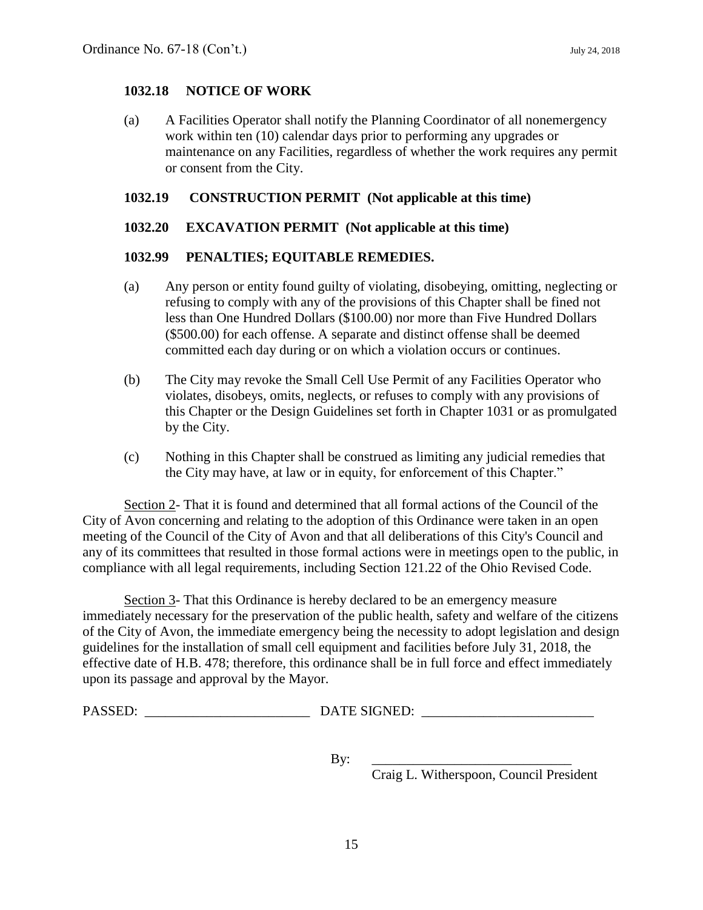#### **1032.18 NOTICE OF WORK**

(a) A Facilities Operator shall notify the Planning Coordinator of all nonemergency work within ten (10) calendar days prior to performing any upgrades or maintenance on any Facilities, regardless of whether the work requires any permit or consent from the City.

## **1032.19 CONSTRUCTION PERMIT (Not applicable at this time)**

#### **1032.20 EXCAVATION PERMIT (Not applicable at this time)**

#### **1032.99 PENALTIES; EQUITABLE REMEDIES.**

- (a) Any person or entity found guilty of violating, disobeying, omitting, neglecting or refusing to comply with any of the provisions of this Chapter shall be fined not less than One Hundred Dollars (\$100.00) nor more than Five Hundred Dollars (\$500.00) for each offense. A separate and distinct offense shall be deemed committed each day during or on which a violation occurs or continues.
- (b) The City may revoke the Small Cell Use Permit of any Facilities Operator who violates, disobeys, omits, neglects, or refuses to comply with any provisions of this Chapter or the Design Guidelines set forth in Chapter 1031 or as promulgated by the City.
- (c) Nothing in this Chapter shall be construed as limiting any judicial remedies that the City may have, at law or in equity, for enforcement of this Chapter."

Section 2- That it is found and determined that all formal actions of the Council of the City of Avon concerning and relating to the adoption of this Ordinance were taken in an open meeting of the Council of the City of Avon and that all deliberations of this City's Council and any of its committees that resulted in those formal actions were in meetings open to the public, in compliance with all legal requirements, including Section 121.22 of the Ohio Revised Code.

Section 3- That this Ordinance is hereby declared to be an emergency measure immediately necessary for the preservation of the public health, safety and welfare of the citizens of the City of Avon, the immediate emergency being the necessity to adopt legislation and design guidelines for the installation of small cell equipment and facilities before July 31, 2018, the effective date of H.B. 478; therefore, this ordinance shall be in full force and effect immediately upon its passage and approval by the Mayor.

| PASSED: | <b>DATE SIGNED:</b> |
|---------|---------------------|
|         |                     |

By: \_\_\_\_\_\_\_\_\_\_\_\_\_\_\_\_\_\_\_\_\_\_\_\_\_\_\_\_\_

Craig L. Witherspoon, Council President